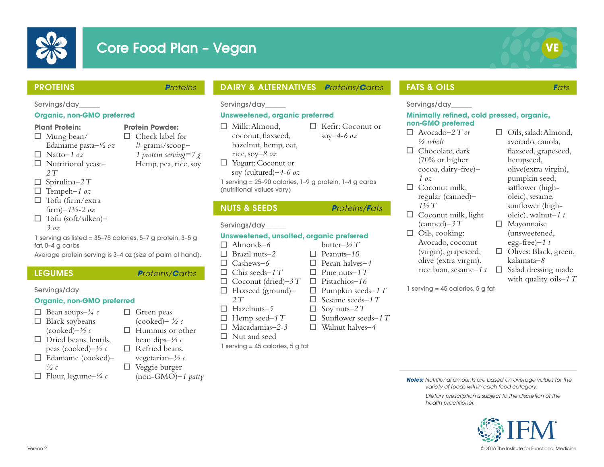

# **Core Food Plan - Vegan**



### PROTEINS *Proteins*

#### Servings/day\_\_\_\_\_\_

#### **Organic, non-GMO preferred**

#### **Plant Protein:**

- $\Box$  Mung bean/ Edamame pasta*–½ oz*
- Natto*–1 oz*
- Nutritional yeast*– 2 T*
- $\Box$  Spirulina–2 T
- Tempeh*–1 oz*
- $\Box$  Tofu (firm/extra firm)*–1½-2 oz*
- Tofu (soft/silken)*– 3 oz*

1 serving as listed = 35–75 calories, 5–7 g protein, 3–5 g fat, 0–4 g carbs

Average protein serving is 3–4 oz (size of palm of hand).

 $\Box$  Green peas (cooked)*– ½ c*  $\Box$  Hummus or other bean dips*–⅓ c*  $\Box$  Refried beans, vegetarian*–½ c*  $\Box$  Veggie burger

(non-GMO)*–1 patty*

### LEGUMES *Proteins/Carbs*

Servings/day\_\_\_\_\_\_

#### **Organic, non-GMO preferred**

- $\Box$  Bean soups– $\frac{3}{4}c$  $\Box$  Black soybeans (cooked)*–½ c*  $\Box$  Dried beans, lentils, peas (cooked)*–½ c*
- Edamame (cooked)
- *½ c*
- $\Box$  Flour, legume<sup>-1/4</sup> c
- **Protein Powder:**  $\Box$  Check label for
	- # grams/scoop– *1 protein serving=7 g*
	- Hemp, pea, rice, soy

soy (cultured)*–4-6 oz* 1 serving = 25–90 calories, 1–9 g protein, 1–4 g carbs (nutritional values vary)

**Unsweetened, organic preferred**

DAIRY & ALTERNATIVES *Proteins/Carbs*

□ Kefir: Coconut or soy*–4-6 oz*

## NUTS & SEEDS *Proteins/Fats*

Servings/day\_\_\_\_\_\_

□ Milk: Almond, coconut, flaxseed, hazelnut, hemp, oat, rice, soy*–8 oz* □ Yogurt: Coconut or

#### Servings/day\_\_\_\_\_\_

#### **Unsweetened, unsalted, organic preferred**

- Almonds*–6*
- Brazil nuts*–2*  $\Box$
- Cashews*–6*
- $\Box$ Chia seeds*–1 T*
- $\Box$ Coconut (dried)*–3 T*
- Flaxseed (ground)*– 2 T*
- Hazelnuts*–5*
- $\Box$  Hemp seed–1 T
- Macadamias*–2-3*
- П. Nut and seed

1 serving = 45 calories, 5 g fat

## FATS & OILS *Fats*

#### Servings/day\_\_\_\_\_\_

#### **Minimally refined, cold pressed, organic, non-GMO preferred**

- Avocado*–2 T or ⅛ whole*  $\Box$  Chocolate, dark (70% or higher cocoa, dairy-free)*– 1 oz*
- $\Box$  Coconut milk regular (canned)*– 1½ T*
- $\Box$  Coconut milk, light (canned)*–3 T*
- $\Box$  Oils, cooking: Avocado, coconut (virgin), grapeseed, olive (extra virgin), rice bran, sesame*–1 t* Salad dressing made
- $\Box$  Oils, salad: Almond, avocado, canola, flaxseed, grapeseed, hempseed, olive(extra virgin), pumpkin seed, safflower (higholeic), sesame, sunflower (higholeic), walnut*–1 t*
- □ Mayonnaise (unsweetened, egg-free)*–1 t*
	- $\Box$  Olives: Black, green, kalamata*–8*
		- with quality oils*–1 T*
- 1 serving = 45 calories, 5 g fat

*Notes: Nutritional amounts are based on average values for the variety of foods within each food category.*

*Dietary prescription is subject to the discretion of the health practitioner.*



butter*–½ T* П. Peanuts*–10* Pecan halves*–4* Pine nuts–*1 T* Pistachios*–16*  $\Box$  Pumpkin seeds–1 T  $\Box$  Sesame seeds-1 T  $\Box$  Soy nuts–2 T Sunflower seeds*–1 T* Walnut halves*–4*